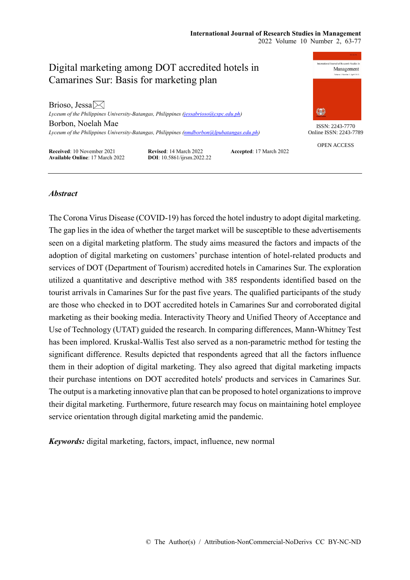# Digital marketing among DOT accredited hotels in Camarines Sur: Basis for marketing plan Brioso, Jessa $\boxtimes$ 钃 *Lyceum of the Philippines University-Batangas, Philippines [\(jessabrioso@cspc.edu.ph\)](mailto:jessabrioso@cspc.edu.ph)* Borbon, Noelah Mae ISSN: 2243-7770 *Lyceum of the Philippines University-Batangas, Philippines [\(nmdborbon@lpubatangas.edu.ph\)](mailto:nmdborbon@lpubatangas.edu.ph)* OPEN ACCESS **Received**: 10 November 2021 **Revised**: 14 March 2022 **Accepted**: 17 March 2022

**Available Online**: 17 March 2022 **DOI**: 10.5861/ijrsm.2022.22



Online ISSN: 2243-7789

# *Abstract*

The Corona Virus Disease (COVID-19) has forced the hotel industry to adopt digital marketing. The gap lies in the idea of whether the target market will be susceptible to these advertisements seen on a digital marketing platform. The study aims measured the factors and impacts of the adoption of digital marketing on customers' purchase intention of hotel-related products and services of DOT (Department of Tourism) accredited hotels in Camarines Sur. The exploration utilized a quantitative and descriptive method with 385 respondents identified based on the tourist arrivals in Camarines Sur for the past five years. The qualified participants of the study are those who checked in to DOT accredited hotels in Camarines Sur and corroborated digital marketing as their booking media. Interactivity Theory and Unified Theory of Acceptance and Use of Technology (UTAT) guided the research. In comparing differences, Mann-Whitney Test has been implored. Kruskal-Wallis Test also served as a non-parametric method for testing the significant difference. Results depicted that respondents agreed that all the factors influence them in their adoption of digital marketing. They also agreed that digital marketing impacts their purchase intentions on DOT accredited hotels' products and services in Camarines Sur. The output is a marketing innovative plan that can be proposed to hotel organizations to improve their digital marketing. Furthermore, future research may focus on maintaining hotel employee service orientation through digital marketing amid the pandemic.

*Keywords:* digital marketing, factors, impact, influence, new normal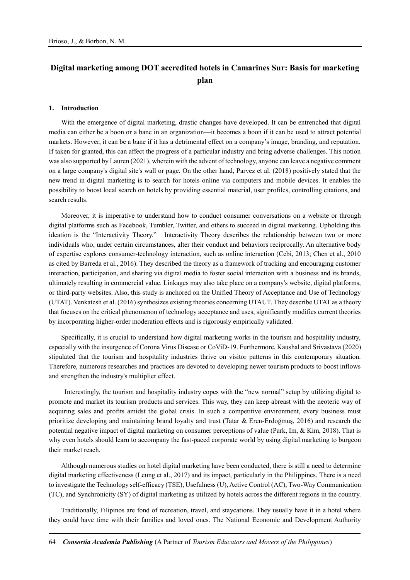# **Digital marketing among DOT accredited hotels in Camarines Sur: Basis for marketing plan**

#### **1. Introduction**

With the emergence of digital marketing, drastic changes have developed. It can be entrenched that digital media can either be a boon or a bane in an organization—it becomes a boon if it can be used to attract potential markets. However, it can be a bane if it has a detrimental effect on a company's image, branding, and reputation. If taken for granted, this can affect the progress of a particular industry and bring adverse challenges. This notion was also supported by Lauren (2021), wherein with the advent of technology, anyone can leave a negative comment on a large company's digital site's wall or page. On the other hand, Parvez et al. (2018) positively stated that the new trend in digital marketing is to search for hotels online via computers and mobile devices. It enables the possibility to boost local search on hotels by providing essential material, user profiles, controlling citations, and search results.

Moreover, it is imperative to understand how to conduct consumer conversations on a website or through digital platforms such as Facebook, Tumbler, Twitter, and others to succeed in digital marketing. Upholding this ideation is the "Interactivity Theory." Interactivity Theory describes the relationship between two or more individuals who, under certain circumstances, alter their conduct and behaviors reciprocally. An alternative body of expertise explores consumer-technology interaction, such as online interaction (Cebi, 2013; Chen et al., 2010 as cited by Barreda et al., 2016). They described the theory as a framework of tracking and encouraging customer interaction, participation, and sharing via digital media to foster social interaction with a business and its brands, ultimately resulting in commercial value. Linkages may also take place on a company's website, digital platforms, or third-party websites. Also, this study is anchored on the Unified Theory of Acceptance and Use of Technology (UTAT). Venkatesh et al. (2016) synthesizes existing theories concerning UTAUT. They describe UTAT as a theory that focuses on the critical phenomenon of technology acceptance and uses, significantly modifies current theories by incorporating higher-order moderation effects and is rigorously empirically validated.

Specifically, it is crucial to understand how digital marketing works in the tourism and hospitality industry, especially with the insurgence of Corona Virus Disease or CoViD-19. Furthermore, Kaushal and Srivastava (2020) stipulated that the tourism and hospitality industries thrive on visitor patterns in this contemporary situation. Therefore, numerous researches and practices are devoted to developing newer tourism products to boost inflows and strengthen the industry's multiplier effect.

Interestingly, the tourism and hospitality industry copes with the "new normal" setup by utilizing digital to promote and market its tourism products and services. This way, they can keep abreast with the neoteric way of acquiring sales and profits amidst the global crisis. In such a competitive environment, every business must prioritize developing and maintaining brand loyalty and trust (Tatar & Eren-Erdoğmuş, 2016) and research the potential negative impact of digital marketing on consumer perceptions of value (Park, Im, & Kim, 2018). That is why even hotels should learn to accompany the fast-paced corporate world by using digital marketing to burgeon their market reach.

Although numerous studies on hotel digital marketing have been conducted, there is still a need to determine digital marketing effectiveness (Leung et al., 2017) and its impact, particularly in the Philippines. There is a need to investigate the Technology self-efficacy (TSE), Usefulness (U), Active Control (AC), Two-Way Communication (TC), and Synchronicity (SY) of digital marketing as utilized by hotels across the different regions in the country.

Traditionally, Filipinos are fond of recreation, travel, and staycations. They usually have it in a hotel where they could have time with their families and loved ones. The National Economic and Development Authority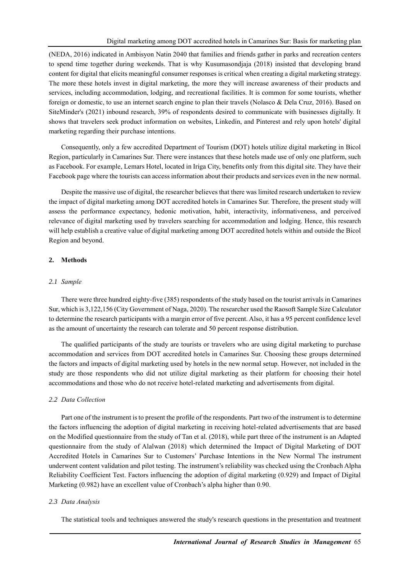(NEDA, 2016) indicated in Ambisyon Natin 2040 that families and friends gather in parks and recreation centers to spend time together during weekends. That is why Kusumasondjaja (2018) insisted that developing brand content for digital that elicits meaningful consumer responses is critical when creating a digital marketing strategy. The more these hotels invest in digital marketing, the more they will increase awareness of their products and services, including accommodation, lodging, and recreational facilities. It is common for some tourists, whether foreign or domestic, to use an internet search engine to plan their travels (Nolasco & Dela Cruz, 2016). Based on SiteMinder's (2021) inbound research, 39% of respondents desired to communicate with businesses digitally. It shows that travelers seek product information on websites, Linkedin, and Pinterest and rely upon hotels' digital marketing regarding their purchase intentions.

Consequently, only a few accredited Department of Tourism (DOT) hotels utilize digital marketing in Bicol Region, particularly in Camarines Sur. There were instances that these hotels made use of only one platform, such as Facebook. For example, Lemars Hotel, located in Iriga City, benefits only from this digital site. They have their Facebook page where the tourists can access information about their products and services even in the new normal.

Despite the massive use of digital, the researcher believes that there was limited research undertaken to review the impact of digital marketing among DOT accredited hotels in Camarines Sur. Therefore, the present study will assess the performance expectancy, hedonic motivation, habit, interactivity, informativeness, and perceived relevance of digital marketing used by travelers searching for accommodation and lodging. Hence, this research will help establish a creative value of digital marketing among DOT accredited hotels within and outside the Bicol Region and beyond.

### **2. Methods**

#### *2.1 Sample*

There were three hundred eighty-five (385) respondents of the study based on the tourist arrivals in Camarines Sur, which is 3,122,156 (City Government of Naga, 2020). The researcher used the Raosoft Sample Size Calculator to determine the research participants with a margin error of five percent. Also, it has a 95 percent confidence level as the amount of uncertainty the research can tolerate and 50 percent response distribution.

The qualified participants of the study are tourists or travelers who are using digital marketing to purchase accommodation and services from DOT accredited hotels in Camarines Sur. Choosing these groups determined the factors and impacts of digital marketing used by hotels in the new normal setup. However, not included in the study are those respondents who did not utilize digital marketing as their platform for choosing their hotel accommodations and those who do not receive hotel-related marketing and advertisements from digital.

#### *2.2 Data Collection*

Part one of the instrument is to present the profile of the respondents. Part two of the instrument is to determine the factors influencing the adoption of digital marketing in receiving hotel-related advertisements that are based on the Modified questionnaire from the study of Tan et al. (2018), while part three of the instrument is an Adapted questionnaire from the study of Alalwan (2018) which determined the Impact of Digital Marketing of DOT Accredited Hotels in Camarines Sur to Customers' Purchase Intentions in the New Normal The instrument underwent content validation and pilot testing. The instrument's reliability was checked using the Cronbach Alpha Reliability Coefficient Test. Factors influencing the adoption of digital marketing (0.929) and Impact of Digital Marketing (0.982) have an excellent value of Cronbach's alpha higher than 0.90.

#### *2.3 Data Analysis*

The statistical tools and techniques answered the study's research questions in the presentation and treatment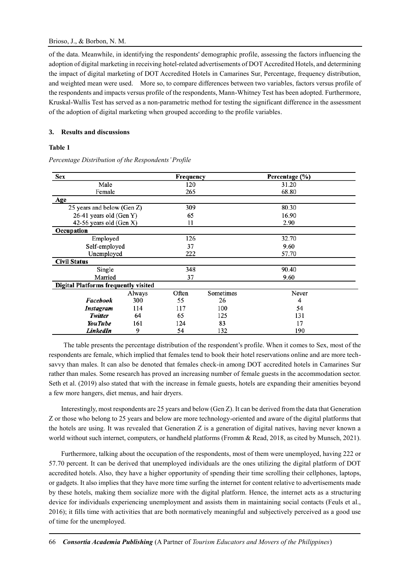of the data. Meanwhile, in identifying the respondents' demographic profile, assessing the factors influencing the adoption of digital marketing in receiving hotel-related advertisements of DOT Accredited Hotels, and determining the impact of digital marketing of DOT Accredited Hotels in Camarines Sur, Percentage, frequency distribution, and weighted mean were used. More so, to compare differences between two variables, factors versus profile of the respondents and impacts versus profile of the respondents, Mann-Whitney Test has been adopted. Furthermore, Kruskal-Wallis Test has served as a non-parametric method for testing the significant difference in the assessment of the adoption of digital marketing when grouped according to the profile variables.

## **3. Results and discussions**

# **Table 1**

| Sex                                         |                         |       | Frequency | Percentage (%) |  |
|---------------------------------------------|-------------------------|-------|-----------|----------------|--|
| Male                                        |                         |       |           | 31.20          |  |
| Female                                      |                         |       |           | 68.80          |  |
| Age                                         |                         |       |           |                |  |
| 25 years and below (Gen Z)                  |                         | 309   |           | 80.30          |  |
| 26-41 years old (Gen Y)                     |                         | 65    |           | 16.90          |  |
|                                             | 42-56 years old (Gen X) |       |           | 2.90           |  |
| Occupation                                  |                         |       |           |                |  |
| Employed                                    |                         | 126   |           | 32.70          |  |
| Self-employed                               |                         | 37    |           | 9.60           |  |
| Unemployed                                  |                         | 222   |           | 57.70          |  |
| <b>Civil Status</b>                         |                         |       |           |                |  |
| Single                                      |                         | 348   |           | 90.40          |  |
| Married                                     |                         | 37    |           | 9.60           |  |
| <b>Digital Platforms frequently visited</b> |                         |       |           |                |  |
|                                             | Always                  | Often | Sometimes | Never          |  |
| Facebook                                    | 300                     | 55    | 26        | 4              |  |
| Instagram                                   | 114                     | 117   | 100       | 54             |  |
| Twitter                                     | 64                      | 65    | 125       | 131            |  |
| <b>YouTube</b>                              | 161                     | 124   | 83        | 17             |  |
| I inkodIn                                   | Q                       | 54    | 132       | 190            |  |

*Percentage Distribution of the Respondents' Profile*

The table presents the percentage distribution of the respondent's profile. When it comes to Sex, most of the respondents are female, which implied that females tend to book their hotel reservations online and are more techsavvy than males. It can also be denoted that females check-in among DOT accredited hotels in Camarines Sur rather than males. Some research has proved an increasing number of female guests in the accommodation sector. Seth et al. (2019) also stated that with the increase in female guests, hotels are expanding their amenities beyond a few more hangers, diet menus, and hair dryers.

Interestingly, most respondents are 25 years and below (Gen Z). It can be derived from the data that Generation Z or those who belong to 25 years and below are more technology-oriented and aware of the digital platforms that the hotels are using. It was revealed that Generation Z is a generation of digital natives, having never known a world without such internet, computers, or handheld platforms (Fromm & Read, 2018, as cited by Munsch, 2021).

Furthermore, talking about the occupation of the respondents, most of them were unemployed, having 222 or 57.70 percent. It can be derived that unemployed individuals are the ones utilizing the digital platform of DOT accredited hotels. Also, they have a higher opportunity of spending their time scrolling their cellphones, laptops, or gadgets. It also implies that they have more time surfing the internet for content relative to advertisements made by these hotels, making them socialize more with the digital platform. Hence, the internet acts as a structuring device for individuals experiencing unemployment and assists them in maintaining social contacts (Feuls et al., 2016); it fills time with activities that are both normatively meaningful and subjectively perceived as a good use of time for the unemployed.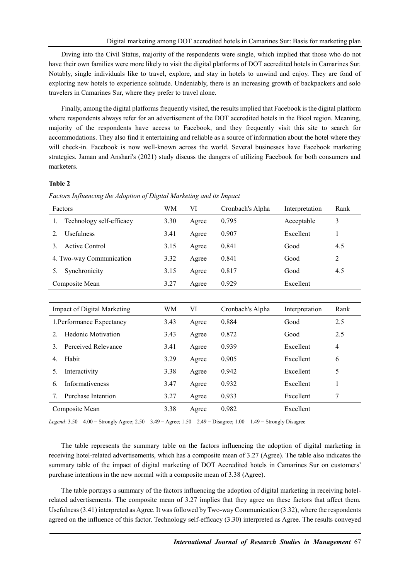Diving into the Civil Status, majority of the respondents were single, which implied that those who do not have their own families were more likely to visit the digital platforms of DOT accredited hotels in Camarines Sur. Notably, single individuals like to travel, explore, and stay in hotels to unwind and enjoy. They are fond of exploring new hotels to experience solitude. Undeniably, there is an increasing growth of backpackers and solo travelers in Camarines Sur, where they prefer to travel alone.

Finally, among the digital platforms frequently visited, the results implied that Facebook is the digital platform where respondents always refer for an advertisement of the DOT accredited hotels in the Bicol region. Meaning, majority of the respondents have access to Facebook, and they frequently visit this site to search for accommodations. They also find it entertaining and reliable as a source of information about the hotel where they will check-in. Facebook is now well-known across the world. Several businesses have Facebook marketing strategies. Jaman and Anshari's (2021) study discuss the dangers of utilizing Facebook for both consumers and marketers.

#### **Table 2**

*Factors Influencing the Adoption of Digital Marketing and its Impact*

| Factors                                                | WM   | VI    | Cronbach's Alpha | Interpretation | Rank           |
|--------------------------------------------------------|------|-------|------------------|----------------|----------------|
| Technology self-efficacy<br>1.                         | 3.30 | Agree | 0.795            | Acceptable     | 3              |
| Usefulness<br>2.                                       | 3.41 | Agree | 0.907            | Excellent      | 1              |
| <b>Active Control</b><br>3.                            | 3.15 | Agree | 0.841            | Good           | 4.5            |
| 4. Two-way Communication                               | 3.32 | Agree | 0.841            | Good           | $\overline{2}$ |
| Synchronicity<br>5.                                    | 3.15 | Agree | 0.817            | Good           | 4.5            |
| Composite Mean                                         | 3.27 | Agree | 0.929            | Excellent      |                |
|                                                        |      |       |                  |                |                |
| <b>Impact of Digital Marketing</b>                     | WM   | VI    | Cronbach's Alpha | Interpretation | Rank           |
| 1. Performance Expectancy                              | 3.43 | Agree | 0.884            | Good           | 2.5            |
| <b>Hedonic Motivation</b><br>$2_{-}$                   | 3.43 | Agree | 0.872            | Good           | 2.5            |
| Perceived Relevance<br>3.                              | 3.41 | Agree | 0.939            | Excellent      | 4              |
| Habit<br>4.                                            | 3.29 | Agree | 0.905            | Excellent      | 6              |
| Interactivity<br>5.                                    | 3.38 | Agree | 0.942            | Excellent      | 5              |
| Informativeness<br>6.                                  | 3.47 | Agree | 0.932            | Excellent      | 1              |
| Purchase Intention<br>$7_{\scriptscriptstyle{\ddots}}$ | 3.27 | Agree | 0.933            | Excellent      | 7              |
| Composite Mean                                         | 3.38 | Agree | 0.982            | Excellent      |                |

*Legend*: 3.50 – 4.00 = Strongly Agree; 2.50 – 3.49 = Agree; 1.50 – 2.49 = Disagree; 1.00 – 1.49 = Strongly Disagree

The table represents the summary table on the factors influencing the adoption of digital marketing in receiving hotel-related advertisements, which has a composite mean of 3.27 (Agree). The table also indicates the summary table of the impact of digital marketing of DOT Accredited hotels in Camarines Sur on customers' purchase intentions in the new normal with a composite mean of 3.38 (Agree).

The table portrays a summary of the factors influencing the adoption of digital marketing in receiving hotelrelated advertisements. The composite mean of 3.27 implies that they agree on these factors that affect them. Usefulness (3.41) interpreted as Agree. It was followed by Two-way Communication (3.32), where the respondents agreed on the influence of this factor. Technology self-efficacy (3.30) interpreted as Agree. The results conveyed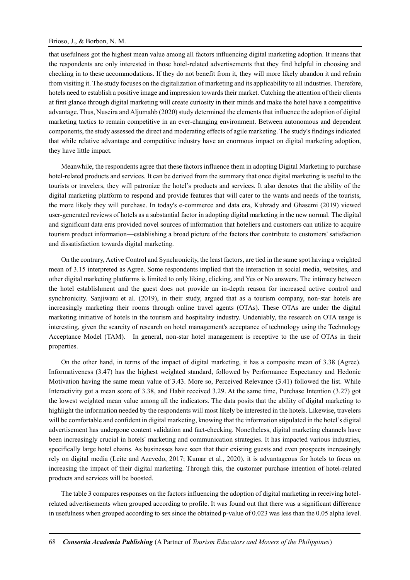#### Brioso, J., & Borbon, N. M.

that usefulness got the highest mean value among all factors influencing digital marketing adoption. It means that the respondents are only interested in those hotel-related advertisements that they find helpful in choosing and checking in to these accommodations. If they do not benefit from it, they will more likely abandon it and refrain from visiting it. The study focuses on the digitalization of marketing and its applicability to all industries. Therefore, hotels need to establish a positive image and impression towards their market. Catching the attention of their clients at first glance through digital marketing will create curiosity in their minds and make the hotel have a competitive advantage. Thus, Nuseira and Aljumahb (2020) study determined the elements that influence the adoption of digital marketing tactics to remain competitive in an ever-changing environment. Between autonomous and dependent components, the study assessed the direct and moderating effects of agile marketing. The study's findings indicated that while relative advantage and competitive industry have an enormous impact on digital marketing adoption, they have little impact.

Meanwhile, the respondents agree that these factors influence them in adopting Digital Marketing to purchase hotel-related products and services. It can be derived from the summary that once digital marketing is useful to the tourists or travelers, they will patronize the hotel's products and services. It also denotes that the ability of the digital marketing platform to respond and provide features that will cater to the wants and needs of the tourists, the more likely they will purchase. In today's e-commerce and data era, Kuhzady and Ghasemi (2019) viewed user-generated reviews of hotels as a substantial factor in adopting digital marketing in the new normal. The digital and significant data eras provided novel sources of information that hoteliers and customers can utilize to acquire tourism product information—establishing a broad picture of the factors that contribute to customers' satisfaction and dissatisfaction towards digital marketing.

On the contrary, Active Control and Synchronicity, the least factors, are tied in the same spot having a weighted mean of 3.15 interpreted as Agree. Some respondents implied that the interaction in social media, websites, and other digital marketing platforms is limited to only liking, clicking, and Yes or No answers. The intimacy between the hotel establishment and the guest does not provide an in-depth reason for increased active control and synchronicity. Sanjiwani et al. (2019), in their study, argued that as a tourism company, non-star hotels are increasingly marketing their rooms through online travel agents (OTAs). These OTAs are under the digital marketing initiative of hotels in the tourism and hospitality industry. Undeniably, the research on OTA usage is interesting, given the scarcity of research on hotel management's acceptance of technology using the Technology Acceptance Model (TAM). In general, non-star hotel management is receptive to the use of OTAs in their properties.

On the other hand, in terms of the impact of digital marketing, it has a composite mean of 3.38 (Agree). Informativeness (3.47) has the highest weighted standard, followed by Performance Expectancy and Hedonic Motivation having the same mean value of 3.43. More so, Perceived Relevance (3.41) followed the list. While Interactivity got a mean score of 3.38, and Habit received 3.29. At the same time, Purchase Intention (3.27) got the lowest weighted mean value among all the indicators. The data posits that the ability of digital marketing to highlight the information needed by the respondents will most likely be interested in the hotels. Likewise, travelers will be comfortable and confident in digital marketing, knowing that the information stipulated in the hotel's digital advertisement has undergone content validation and fact-checking. Nonetheless, digital marketing channels have been increasingly crucial in hotels' marketing and communication strategies. It has impacted various industries, specifically large hotel chains. As businesses have seen that their existing guests and even prospects increasingly rely on digital media (Leite and Azevedo, 2017; Kumar et al., 2020), it is advantageous for hotels to focus on increasing the impact of their digital marketing. Through this, the customer purchase intention of hotel-related products and services will be boosted.

The table 3 compares responses on the factors influencing the adoption of digital marketing in receiving hotelrelated advertisements when grouped according to profile. It was found out that there was a significant difference in usefulness when grouped according to sex since the obtained p-value of 0.023 was less than the 0.05 alpha level.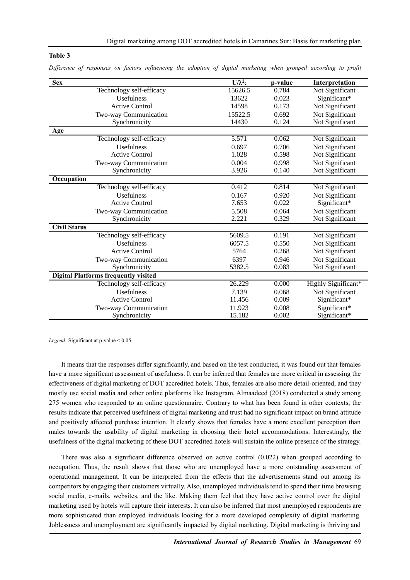### **Table 3**

| <b>Sex</b>                                  | $U/\lambda^2$ c | p-value | Interpretation      |
|---------------------------------------------|-----------------|---------|---------------------|
| Technology self-efficacy                    | 15626.5         | 0.784   | Not Significant     |
| <b>Usefulness</b>                           | 13622           | 0.023   | Significant*        |
| <b>Active Control</b>                       | 14598           | 0.173   | Not Significant     |
| Two-way Communication                       | 15522.5         | 0.692   | Not Significant     |
| Synchronicity                               | 14430           | 0.124   | Not Significant     |
| <b>Age</b>                                  |                 |         |                     |
| Technology self-efficacy                    | 5.571           | 0.062   | Not Significant     |
| Usefulness                                  | 0.697           | 0.706   | Not Significant     |
| <b>Active Control</b>                       | 1.028           | 0.598   | Not Significant     |
| Two-way Communication                       | 0.004           | 0.998   | Not Significant     |
| Synchronicity                               | 3.926           | 0.140   | Not Significant     |
| Occupation                                  |                 |         |                     |
| Technology self-efficacy                    | 0.412           | 0.814   | Not Significant     |
| <b>Usefulness</b>                           | 0.167           | 0.920   | Not Significant     |
| <b>Active Control</b>                       | 7.653           | 0.022   | Significant*        |
| Two-way Communication                       | 5.508           | 0.064   | Not Significant     |
| Synchronicity                               | 2.221           | 0.329   | Not Significant     |
| <b>Civil Status</b>                         |                 |         |                     |
| Technology self-efficacy                    | 5609.5          | 0.191   | Not Significant     |
| Usefulness                                  | 6057.5          | 0.550   | Not Significant     |
| <b>Active Control</b>                       | 5764            | 0.268   | Not Significant     |
| Two-way Communication                       | 6397            | 0.946   | Not Significant     |
| Synchronicity                               | 5382.5          | 0.083   | Not Significant     |
| <b>Digital Platforms frequently visited</b> |                 |         |                     |
| Technology self-efficacy                    | 26.229          | 0.000   | Highly Significant* |
| Usefulness                                  | 7.139           | 0.068   | Not Significant     |
| <b>Active Control</b>                       | 11.456          | 0.009   | Significant*        |
| Two-way Communication                       | 11.923          | 0.008   | Significant*        |
| Synchronicity                               | 15.182          | 0.002   | Significant*        |

*Difference of responses on factors influencing the adoption of digital marketing when grouped according to profit*

*Legend:* Significant at p-value < 0.05

It means that the responses differ significantly, and based on the test conducted, it was found out that females have a more significant assessment of usefulness. It can be inferred that females are more critical in assessing the effectiveness of digital marketing of DOT accredited hotels. Thus, females are also more detail-oriented, and they mostly use social media and other online platforms like Instagram. Almaadeed (2018) conducted a study among 275 women who responded to an online questionnaire. Contrary to what has been found in other contexts, the results indicate that perceived usefulness of digital marketing and trust had no significant impact on brand attitude and positively affected purchase intention. It clearly shows that females have a more excellent perception than males towards the usability of digital marketing in choosing their hotel accommodations. Interestingly, the usefulness of the digital marketing of these DOT accredited hotels will sustain the online presence of the strategy.

There was also a significant difference observed on active control (0.022) when grouped according to occupation. Thus, the result shows that those who are unemployed have a more outstanding assessment of operational management. It can be interpreted from the effects that the advertisements stand out among its competitors by engaging their customers virtually. Also, unemployed individuals tend to spend their time browsing social media, e-mails, websites, and the like. Making them feel that they have active control over the digital marketing used by hotels will capture their interests. It can also be inferred that most unemployed respondents are more sophisticated than employed individuals looking for a more developed complexity of digital marketing. Joblessness and unemployment are significantly impacted by digital marketing. Digital marketing is thriving and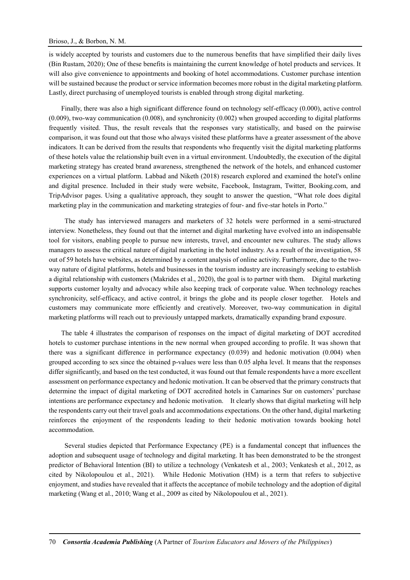#### Brioso, J., & Borbon, N. M.

is widely accepted by tourists and customers due to the numerous benefits that have simplified their daily lives (Bin Rustam, 2020); One of these benefits is maintaining the current knowledge of hotel products and services. It will also give convenience to appointments and booking of hotel accommodations. Customer purchase intention will be sustained because the product or service information becomes more robust in the digital marketing platform. Lastly, direct purchasing of unemployed tourists is enabled through strong digital marketing.

Finally, there was also a high significant difference found on technology self-efficacy (0.000), active control (0.009), two-way communication (0.008), and synchronicity (0.002) when grouped according to digital platforms frequently visited. Thus, the result reveals that the responses vary statistically, and based on the pairwise comparison, it was found out that those who always visited these platforms have a greater assessment of the above indicators. It can be derived from the results that respondents who frequently visit the digital marketing platforms of these hotels value the relationship built even in a virtual environment. Undoubtedly, the execution of the digital marketing strategy has created brand awareness, strengthened the network of the hotels, and enhanced customer experiences on a virtual platform. Labbad and Niketh (2018) research explored and examined the hotel's online and digital presence. Included in their study were website, Facebook, Instagram, Twitter, Booking.com, and TripAdvisor pages. Using a qualitative approach, they sought to answer the question, "What role does digital marketing play in the communication and marketing strategies of four- and five-star hotels in Porto."

The study has interviewed managers and marketers of 32 hotels were performed in a semi-structured interview. Nonetheless, they found out that the internet and digital marketing have evolved into an indispensable tool for visitors, enabling people to pursue new interests, travel, and encounter new cultures. The study allows managers to assess the critical nature of digital marketing in the hotel industry. As a result of the investigation, 58 out of 59 hotels have websites, as determined by a content analysis of online activity. Furthermore, due to the twoway nature of digital platforms, hotels and businesses in the tourism industry are increasingly seeking to establish a digital relationship with customers (Makrides et al., 2020), the goal is to partner with them. Digital marketing supports customer loyalty and advocacy while also keeping track of corporate value. When technology reaches synchronicity, self-efficacy, and active control, it brings the globe and its people closer together. Hotels and customers may communicate more efficiently and creatively. Moreover, two-way communication in digital marketing platforms will reach out to previously untapped markets, dramatically expanding brand exposure.

The table 4 illustrates the comparison of responses on the impact of digital marketing of DOT accredited hotels to customer purchase intentions in the new normal when grouped according to profile. It was shown that there was a significant difference in performance expectancy (0.039) and hedonic motivation (0.004) when grouped according to sex since the obtained p-values were less than 0.05 alpha level. It means that the responses differ significantly, and based on the test conducted, it was found out that female respondents have a more excellent assessment on performance expectancy and hedonic motivation. It can be observed that the primary constructs that determine the impact of digital marketing of DOT accredited hotels in Camarines Sur on customers' purchase intentions are performance expectancy and hedonic motivation. It clearly shows that digital marketing will help the respondents carry out their travel goals and accommodations expectations. On the other hand, digital marketing reinforces the enjoyment of the respondents leading to their hedonic motivation towards booking hotel accommodation.

Several studies depicted that Performance Expectancy (PE) is a fundamental concept that influences the adoption and subsequent usage of technology and digital marketing. It has been demonstrated to be the strongest predictor of Behavioral Intention (BI) to utilize a technology (Venkatesh et al., 2003; Venkatesh et al., 2012, as cited by Nikolopoulou et al., 2021). While Hedonic Motivation (HM) is a term that refers to subjective enjoyment, and studies have revealed that it affects the acceptance of mobile technology and the adoption of digital marketing (Wang et al., 2010; Wang et al., 2009 as cited by Nikolopoulou et al., 2021).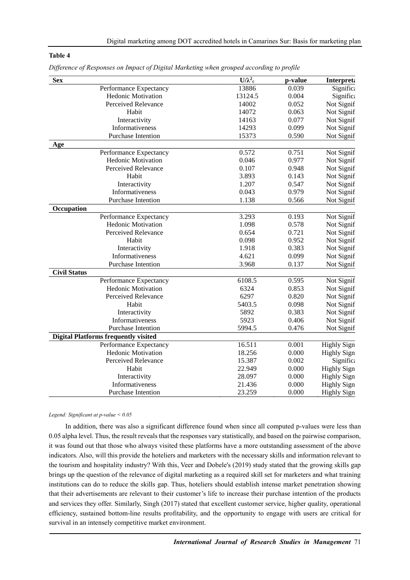### **Table 4**

| <b>Sex</b>                                  | $\overline{U/\lambda^2_c}$ | p-value | Interpreta         |
|---------------------------------------------|----------------------------|---------|--------------------|
| Performance Expectancy                      | 13886                      | 0.039   | Significa          |
| <b>Hedonic Motivation</b>                   | 13124.5                    | 0.004   | Significa          |
| Perceived Relevance                         | 14002                      | 0.052   | Not Signif         |
| Habit                                       | 14072                      | 0.063   | Not Signif         |
| Interactivity                               | 14163                      | 0.077   | Not Signif         |
| Informativeness                             | 14293                      | 0.099   | Not Signif         |
| <b>Purchase Intention</b>                   | 15373                      | 0.590   | Not Signif         |
| Age                                         |                            |         |                    |
| Performance Expectancy                      | 0.572                      | 0.751   | Not Signif         |
| <b>Hedonic Motivation</b>                   | 0.046                      | 0.977   | Not Signif         |
| Perceived Relevance                         | 0.107                      | 0.948   | Not Signif         |
| Habit                                       | 3.893                      | 0.143   | Not Signif         |
| Interactivity                               | 1.207                      | 0.547   | Not Signif         |
| Informativeness                             | 0.043                      | 0.979   | Not Signif         |
| Purchase Intention                          | 1.138                      | 0.566   | Not Signif         |
| Occupation                                  |                            |         |                    |
| Performance Expectancy                      | 3.293                      | 0.193   | Not Signif         |
| Hedonic Motivation                          | 1.098                      | 0.578   | Not Signif         |
| Perceived Relevance                         | 0.654                      | 0.721   | Not Signif         |
| Habit                                       | 0.098                      | 0.952   | Not Signif         |
| Interactivity                               | 1.918                      | 0.383   | Not Signif         |
| Informativeness                             | 4.621                      | 0.099   | Not Signif         |
| Purchase Intention                          | 3.968                      | 0.137   | Not Signif         |
| <b>Civil Status</b>                         |                            |         |                    |
| Performance Expectancy                      | 6108.5                     | 0.595   | Not Signif         |
| <b>Hedonic Motivation</b>                   | 6324                       | 0.853   | Not Signif         |
| Perceived Relevance                         | 6297                       | 0.820   | Not Signif         |
| Habit                                       | 5403.5                     | 0.098   | Not Signif         |
| Interactivity                               | 5892                       | 0.383   | Not Signif         |
| Informativeness                             | 5923                       | 0.406   | Not Signif         |
| Purchase Intention                          | 5994.5                     | 0.476   | Not Signif         |
| <b>Digital Platforms frequently visited</b> |                            |         |                    |
| Performance Expectancy                      | 16.511                     | 0.001   | <b>Highly Sign</b> |
| Hedonic Motivation                          | 18.256                     | 0.000   | <b>Highly Sign</b> |
| Perceived Relevance                         | 15.387                     | 0.002   | Significa          |
| Habit                                       | 22.949                     | 0.000   | <b>Highly Sign</b> |
| Interactivity                               | 28.097                     | 0.000   | <b>Highly Sign</b> |
| Informativeness                             | 21.436                     | 0.000   | <b>Highly Sign</b> |
| <b>Purchase Intention</b>                   | 23.259                     | 0.000   | <b>Highly Sign</b> |

*Difference of Responses on Impact of Digital Marketing when grouped according to profile*

#### *Legend: Significant at p-value < 0.05*

In addition, there was also a significant difference found when since all computed p-values were less than 0.05 alpha level. Thus, the result reveals that the responses vary statistically, and based on the pairwise comparison, it was found out that those who always visited these platforms have a more outstanding assessment of the above indicators. Also, will this provide the hoteliers and marketers with the necessary skills and information relevant to the tourism and hospitality industry? With this, Veer and Dobele's (2019) study stated that the growing skills gap brings up the question of the relevance of digital marketing as a required skill set for marketers and what training institutions can do to reduce the skills gap. Thus, hoteliers should establish intense market penetration showing that their advertisements are relevant to their customer's life to increase their purchase intention of the products and services they offer. Similarly, Singh (2017) stated that excellent customer service, higher quality, operational efficiency, sustained bottom-line results profitability, and the opportunity to engage with users are critical for survival in an intensely competitive market environment.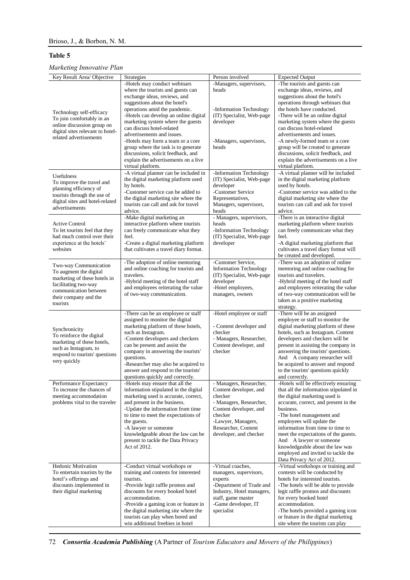## **Table 5**

# *Marketing Innovative Plan*

| Key Result Area/ Objective                                                                                                                                            | Strategies                                                                                                                                                                                                                                                                                                                                                                                                                                                                                  | Person involved                                                                                                                                                                                     | <b>Expected Output</b>                                                                                                                                                                                                                                                                                                                                                                                                                                                        |
|-----------------------------------------------------------------------------------------------------------------------------------------------------------------------|---------------------------------------------------------------------------------------------------------------------------------------------------------------------------------------------------------------------------------------------------------------------------------------------------------------------------------------------------------------------------------------------------------------------------------------------------------------------------------------------|-----------------------------------------------------------------------------------------------------------------------------------------------------------------------------------------------------|-------------------------------------------------------------------------------------------------------------------------------------------------------------------------------------------------------------------------------------------------------------------------------------------------------------------------------------------------------------------------------------------------------------------------------------------------------------------------------|
| Technology self-efficacy<br>To join comfortably in an<br>online discussion group on<br>digital sites relevant to hotel-<br>related advertisements                     | -Hotels may conduct webinars<br>where the tourists and guests can<br>exchange ideas, reviews, and<br>suggestions about the hotel's<br>operations amid the pandemic.<br>-Hotels can develop an online digital<br>marketing system where the guests<br>can discuss hotel-related<br>advertisements and issues.<br>-Hotels may form a team or a core<br>group where the task is to generate<br>discussions, solicit feedback, and<br>explain the advertisements on a live<br>virtual platform. | -Managers, supervisors,<br>heads<br>-Information Technology<br>(IT) Specialist, Web-page<br>developer<br>-Managers, supervisors,<br>heads                                                           | -The tourists and guests can<br>exchange ideas, reviews, and<br>suggestions about the hotel's<br>operations through webinars that<br>the hotels have conducted.<br>-There will be an online digital<br>marketing system where the guests<br>can discuss hotel-related<br>advertisements and issues.<br>-A newly-formed team or a core<br>group will be created to generate<br>discussions, solicit feedback, and<br>explain the advertisements on a live<br>virtual platform. |
| Usefulness<br>To improve the travel and<br>planning efficiency of<br>tourists through the use of<br>digital sites and hotel-related<br>advertisements                 | -A virtual planner can be included in<br>the digital marketing platform used<br>by hotels.<br>-Customer service can be added to<br>the digital marketing site where the<br>tourists can call and ask for travel<br>advice.                                                                                                                                                                                                                                                                  | -Information Technology<br>(IT) Specialist, Web-page<br>developer<br>-Customer Service<br>Representatives,<br>Managers, supervisors,<br>heads                                                       | -A virtual planner will be included<br>in the digital marketing platform<br>used by hotels.<br>-Customer service was added to the<br>digital marketing site where the<br>tourists can call and ask for travel<br>advice.                                                                                                                                                                                                                                                      |
| <b>Active Control</b><br>To let tourists feel that they<br>had much control over their<br>experience at the hotels'<br>websites                                       | -Make digital marketing an<br>interactive platform where tourists<br>can freely communicate what they<br>feel.<br>-Create a digital marketing platform<br>that cultivates a travel diary format.                                                                                                                                                                                                                                                                                            | - Managers, supervisors,<br>heads<br>-Information Technology<br>(IT) Specialist, Web-page<br>developer                                                                                              | -There is an interactive digital<br>marketing platform where tourists<br>can freely communicate what they<br>feel.<br>-A digital marketing platform that<br>cultivates a travel diary format will<br>be created and developed.                                                                                                                                                                                                                                                |
| Two-way Communication<br>To augment the digital<br>marketing of these hotels in<br>facilitating two-way<br>communication between<br>their company and the<br>tourists | -The adoption of online mentoring<br>and online coaching for tourists and<br>travelers.<br>-Hybrid meeting of the hotel staff<br>and employees reiterating the value<br>of two-way communication.                                                                                                                                                                                                                                                                                           | -Customer Service,<br><b>Information Technology</b><br>(IT) Specialist, Web-page<br>developer<br>-Hotel employees,<br>managers, owners                                                              | -There was an adoption of online<br>mentoring and online coaching for<br>tourists and travelers.<br>-Hybrid meeting of the hotel staff<br>and employees reiterating the value<br>of two-way communication will be<br>taken as a positive marketing<br>strategy.                                                                                                                                                                                                               |
| Synchronicity<br>To reinforce the digital<br>marketing of these hotels,<br>such as Instagram, to<br>respond to tourists' questions<br>very quickly                    | -There can be an employee or staff<br>assigned to monitor the digital<br>marketing platform of these hotels,<br>such as Instagram.<br>-Content developers and checkers<br>can be present and assist the<br>company in answering the tourists'<br>questions.<br>-Researcher may also be acquired to<br>answer and respond to the tourists'<br>questions quickly and correctly.                                                                                                               | -Hotel employee or staff<br>- Content developer and<br>checker<br>- Managers, Researcher,<br>Content developer, and<br>checker                                                                      | -There will be an assigned<br>employee or staff to monitor the<br>digital marketing platform of these<br>hotels, such as Instagram. Content<br>developers and checkers will be<br>present in assisting the company in<br>answering the tourists' questions.<br>And A company researcher will<br>be acquired to answer and respond<br>to the tourists' questions quickly<br>and correctly.                                                                                     |
| Performance Expectancy<br>To increase the chances of<br>meeting accommodation<br>problems vital to the traveler                                                       | -Hotels may ensure that all the<br>information stipulated in the digital<br>marketing used is accurate, correct,<br>and present in the business.<br>-Update the information from time<br>to time to meet the expectations of<br>the guests.<br>-A lawyer or someone<br>knowledgeable about the law can be<br>present to tackle the Data Privacy<br>Act of 2012.                                                                                                                             | - Managers, Researcher,<br>Content developer, and<br>checker<br>- Managers, Researcher,<br>Content developer, and<br>checker<br>-Lawyer, Managers,<br>Researcher, Content<br>developer, and checker | -Hotels will be effectively ensuring<br>that all the information stipulated in<br>the digital marketing used is<br>accurate, correct, and present in the<br>business.<br>-The hotel management and<br>employees will update the<br>information from time to time to<br>meet the expectations of the guests.<br>And A lawyer or someone<br>knowledgeable about the law was<br>employed and invited to tackle the<br>Data Privacy Act of 2012.                                  |
| <b>Hedonic Motivation</b><br>To entertain tourists by the<br>hotel's offerings and<br>discounts implemented in<br>their digital marketing                             | -Conduct virtual workshops or<br>training and contests for interested<br>tourists.<br>-Provide legit raffle promos and<br>discounts for every booked hotel<br>accommodation.<br>-Provide a gaming icon or feature in<br>the digital marketing site where the<br>tourists can play when bored and<br>win additional freebies in hotel                                                                                                                                                        | -Virtual coaches,<br>managers, supervisors,<br>experts<br>-Department of Trade and<br>Industry, Hotel managers,<br>staff, game master<br>-Game developer, IT<br>specialist                          | -Virtual workshops or training and<br>contests will be conducted by<br>hotels for interested tourists.<br>-The hotels will be able to provide<br>legit raffle promos and discounts<br>for every booked hotel<br>accommodation.<br>-The hotels provided a gaming icon<br>or feature in the digital marketing<br>site where the tourists can play                                                                                                                               |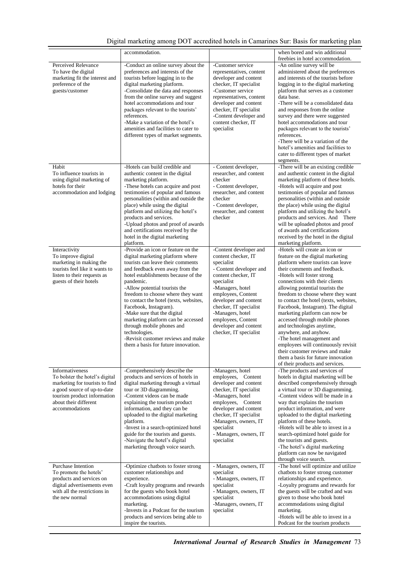## Digital marketing among DOT accredited hotels in Camarines Sur: Basis for marketing plan

|                                                                                                                                                                                              | accommodation.                                                                                                                                                                                                                                                                                                                                                                                                                                                                                                                              |                                                                                                                                                                                                                                                                                                                       | when bored and win additional<br>freebies in hotel accommodation.                                                                                                                                                                                                                                                                                                                                                                                                                                                                                                                                                                                                       |
|----------------------------------------------------------------------------------------------------------------------------------------------------------------------------------------------|---------------------------------------------------------------------------------------------------------------------------------------------------------------------------------------------------------------------------------------------------------------------------------------------------------------------------------------------------------------------------------------------------------------------------------------------------------------------------------------------------------------------------------------------|-----------------------------------------------------------------------------------------------------------------------------------------------------------------------------------------------------------------------------------------------------------------------------------------------------------------------|-------------------------------------------------------------------------------------------------------------------------------------------------------------------------------------------------------------------------------------------------------------------------------------------------------------------------------------------------------------------------------------------------------------------------------------------------------------------------------------------------------------------------------------------------------------------------------------------------------------------------------------------------------------------------|
| Perceived Relevance<br>To have the digital<br>marketing fit the interest and<br>preference of the<br>guests/customer                                                                         | -Conduct an online survey about the<br>preferences and interests of the<br>tourists before logging in to the<br>digital marketing platform.<br>-Consolidate the data and responses<br>from the online survey and suggest<br>hotel accommodations and tour<br>packages relevant to the tourists'<br>references.<br>-Make a variation of the hotel's<br>amenities and facilities to cater to<br>different types of market segments.                                                                                                           | -Customer service<br>representatives, content<br>developer and content<br>checker, IT specialist<br>-Customer service<br>representatives, content<br>developer and content<br>checker, IT specialist<br>-Content developer and<br>content checker. IT<br>specialist                                                   | -An online survey will be<br>administered about the preferences<br>and interests of the tourists before<br>logging in to the digital marketing<br>platform that serves as a customer<br>data base.<br>-There will be a consolidated data<br>and responses from the online<br>survey and there were suggested<br>hotel accommodations and tour<br>packages relevant to the tourists'<br>references.<br>-There will be a variation of the<br>hotel's amenities and facilities to<br>cater to different types of market<br>segments.                                                                                                                                       |
| Habit<br>To influence tourists in<br>using digital marketing of<br>hotels for their<br>accommodation and lodging                                                                             | -Hotels can build credible and<br>authentic content in the digital<br>marketing platform.<br>-These hotels can acquire and post<br>testimonies of popular and famous<br>personalities (within and outside the<br>place) while using the digital<br>platform and utilizing the hotel's<br>products and services.<br>-Upload photos and proof of awards<br>and certifications received by the<br>hotel in the digital marketing<br>platform.                                                                                                  | - Content developer,<br>researcher, and content<br>checker<br>- Content developer,<br>researcher, and content<br>checker<br>- Content developer,<br>researcher, and content<br>checker                                                                                                                                | -There will be an existing credible<br>and authentic content in the digital<br>marketing platform of these hotels.<br>-Hotels will acquire and post<br>testimonies of popular and famous<br>personalities (within and outside<br>the place) while using the digital<br>platform and utilizing the hotel's<br>products and services. And There<br>will be uploaded photos and proof<br>of awards and certifications<br>received by the hotel in the digital<br>marketing platform.                                                                                                                                                                                       |
| Interactivity<br>To improve digital<br>marketing in making the<br>tourists feel like it wants to<br>listen to their requests as<br>guests of their hotels                                    | -Provide an icon or feature on the<br>digital marketing platform where<br>tourists can leave their comments<br>and feedback even away from the<br>hotel establishments because of the<br>pandemic.<br>-Allow potential tourists the<br>freedom to choose where they want<br>to contact the hotel (texts, websites,<br>Facebook, Instagram).<br>-Make sure that the digital<br>marketing platform can be accessed<br>through mobile phones and<br>technologies.<br>-Revisit customer reviews and make<br>them a basis for future innovation. | -Content developer and<br>content checker, IT<br>specialist<br>- Content developer and<br>content checker, IT<br>specialist<br>-Managers, hotel<br>employees, Content<br>developer and content<br>checker, IT specialist<br>-Managers, hotel<br>employees, Content<br>developer and content<br>checker, IT specialist | -Hotels will create an icon or<br>feature on the digital marketing<br>platform where tourists can leave<br>their comments and feedback.<br>-Hotels will foster strong<br>connections with their clients<br>allowing potential tourists the<br>freedom to choose where they want<br>to contact the hotel (texts, websites,<br>Facebook, Instagram). The digital<br>marketing platform can now be<br>accessed through mobile phones<br>and technologies anytime,<br>anywhere, and anyhow.<br>-The hotel management and<br>employees will continuously revisit<br>their customer reviews and make<br>them a basis for future innovation<br>of their products and services. |
| Informativeness<br>To bolster the hotel's digital<br>marketing for tourists to find<br>a good source of up-to-date<br>tourism product information<br>about their different<br>accommodations | -Comprehensively describe the<br>products and services of hotels in<br>digital marketing through a virtual<br>tour or 3D diagramming.<br>-Content videos can be made<br>explaining the tourism product<br>information, and they can be<br>uploaded to the digital marketing<br>platform.<br>-Invest in a search-optimized hotel<br>guide for the tourists and guests.<br>-Navigate the hotel's digital<br>marketing through voice search.                                                                                                   | -Managers, hotel<br>employees, Content<br>developer and content<br>checker, IT specialist<br>-Managers, hotel<br>employees, Content<br>developer and content<br>checker, IT specialist<br>-Managers, owners, IT<br>specialist<br>- Managers, owners, IT<br>specialist                                                 | -The products and services of<br>hotels in digital marketing will be<br>described comprehensively through<br>a virtual tour or 3D diagramming.<br>-Content videos will be made in a<br>way that explains the tourism<br>product information, and were<br>uploaded to the digital marketing<br>platform of these hotels.<br>-Hotels will be able to invest in a<br>search-optimized hotel guide for<br>the tourists and guests.<br>-The hotel's digital marketing<br>platform can now be navigated<br>through voice search.                                                                                                                                              |
| <b>Purchase Intention</b><br>To promote the hotels'<br>products and services on<br>digital advertisements even<br>with all the restrictions in<br>the new normal                             | -Optimize chatbots to foster strong<br>customer relationships and<br>experience.<br>-Craft loyalty programs and rewards<br>for the guests who book hotel<br>accommodations using digital<br>marketing.<br>-Invests in a Podcast for the tourism<br>products and services being able to<br>inspire the tourists.                                                                                                                                                                                                                             | - Managers, owners, IT<br>specialist<br>- Managers, owners, IT<br>specialist<br>- Managers, owners, IT<br>specialist<br>-Managers, owners, IT<br>specialist                                                                                                                                                           | -The hotel will optimize and utilize<br>chatbots to foster strong customer<br>relationships and experience.<br>-Loyalty programs and rewards for<br>the guests will be crafted and was<br>given to those who book hotel<br>accommodations using digital<br>marketing.<br>-Hotels will be able to invest in a<br>Podcast for the tourism products                                                                                                                                                                                                                                                                                                                        |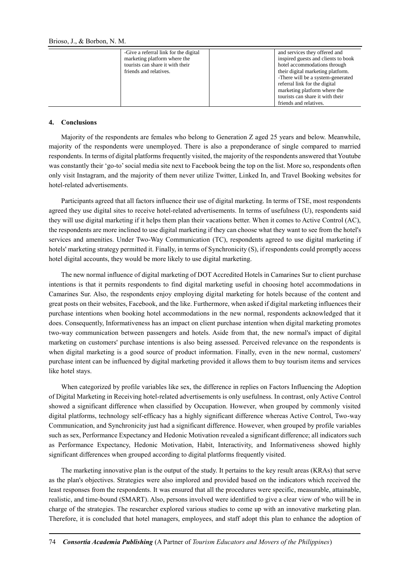| -Give a referral link for the digital<br>marketing platform where the<br>tourists can share it with their<br>friends and relatives. | and services they offered and<br>inspired guests and clients to book<br>hotel accommodations through<br>their digital marketing platform.<br>-There will be a system-generated<br>referral link for the digital |
|-------------------------------------------------------------------------------------------------------------------------------------|-----------------------------------------------------------------------------------------------------------------------------------------------------------------------------------------------------------------|
|                                                                                                                                     | marketing platform where the<br>tourists can share it with their<br>friends and relatives.                                                                                                                      |

### **4. Conclusions**

Majority of the respondents are females who belong to Generation Z aged 25 years and below. Meanwhile, majority of the respondents were unemployed. There is also a preponderance of single compared to married respondents. In terms of digital platforms frequently visited, the majority of the respondents answered that Youtube was constantly their 'go-to' social media site next to Facebook being the top on the list. More so, respondents often only visit Instagram, and the majority of them never utilize Twitter, Linked In, and Travel Booking websites for hotel-related advertisements.

Participants agreed that all factors influence their use of digital marketing. In terms of TSE, most respondents agreed they use digital sites to receive hotel-related advertisements. In terms of usefulness (U), respondents said they will use digital marketing if it helps them plan their vacations better. When it comes to Active Control (AC), the respondents are more inclined to use digital marketing if they can choose what they want to see from the hotel's services and amenities. Under Two-Way Communication (TC), respondents agreed to use digital marketing if hotels' marketing strategy permitted it. Finally, in terms of Synchronicity (S), if respondents could promptly access hotel digital accounts, they would be more likely to use digital marketing.

The new normal influence of digital marketing of DOT Accredited Hotels in Camarines Sur to client purchase intentions is that it permits respondents to find digital marketing useful in choosing hotel accommodations in Camarines Sur. Also, the respondents enjoy employing digital marketing for hotels because of the content and great posts on their websites, Facebook, and the like. Furthermore, when asked if digital marketing influences their purchase intentions when booking hotel accommodations in the new normal, respondents acknowledged that it does. Consequently, Informativeness has an impact on client purchase intention when digital marketing promotes two-way communication between passengers and hotels. Aside from that, the new normal's impact of digital marketing on customers' purchase intentions is also being assessed. Perceived relevance on the respondents is when digital marketing is a good source of product information. Finally, even in the new normal, customers' purchase intent can be influenced by digital marketing provided it allows them to buy tourism items and services like hotel stays.

When categorized by profile variables like sex, the difference in replies on Factors Influencing the Adoption of Digital Marketing in Receiving hotel-related advertisements is only usefulness. In contrast, only Active Control showed a significant difference when classified by Occupation. However, when grouped by commonly visited digital platforms, technology self-efficacy has a highly significant difference whereas Active Control, Two-way Communication, and Synchronicity just had a significant difference. However, when grouped by profile variables such as sex, Performance Expectancy and Hedonic Motivation revealed a significant difference; all indicators such as Performance Expectancy, Hedonic Motivation, Habit, Interactivity, and Informativeness showed highly significant differences when grouped according to digital platforms frequently visited.

The marketing innovative plan is the output of the study. It pertains to the key result areas (KRAs) that serve as the plan's objectives. Strategies were also implored and provided based on the indicators which received the least responses from the respondents. It was ensured that all the procedures were specific, measurable, attainable, realistic, and time-bound (SMART). Also, persons involved were identified to give a clear view of who will be in charge of the strategies. The researcher explored various studies to come up with an innovative marketing plan. Therefore, it is concluded that hotel managers, employees, and staff adopt this plan to enhance the adoption of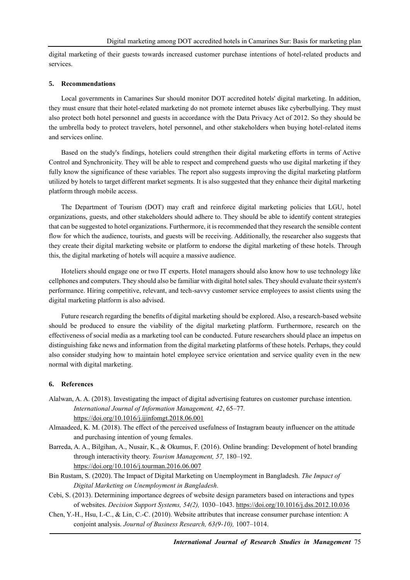digital marketing of their guests towards increased customer purchase intentions of hotel-related products and services.

#### **5. Recommendations**

Local governments in Camarines Sur should monitor DOT accredited hotels' digital marketing. In addition, they must ensure that their hotel-related marketing do not promote internet abuses like cyberbullying. They must also protect both hotel personnel and guests in accordance with the Data Privacy Act of 2012. So they should be the umbrella body to protect travelers, hotel personnel, and other stakeholders when buying hotel-related items and services online.

Based on the study's findings, hoteliers could strengthen their digital marketing efforts in terms of Active Control and Synchronicity. They will be able to respect and comprehend guests who use digital marketing if they fully know the significance of these variables. The report also suggests improving the digital marketing platform utilized by hotels to target different market segments. It is also suggested that they enhance their digital marketing platform through mobile access.

The Department of Tourism (DOT) may craft and reinforce digital marketing policies that LGU, hotel organizations, guests, and other stakeholders should adhere to. They should be able to identify content strategies that can be suggested to hotel organizations. Furthermore, it is recommended that they research the sensible content flow for which the audience, tourists, and guests will be receiving. Additionally, the researcher also suggests that they create their digital marketing website or platform to endorse the digital marketing of these hotels. Through this, the digital marketing of hotels will acquire a massive audience.

Hoteliers should engage one or two IT experts. Hotel managers should also know how to use technology like cellphones and computers. They should also be familiar with digital hotel sales. They should evaluate their system's performance. Hiring competitive, relevant, and tech-savvy customer service employees to assist clients using the digital marketing platform is also advised.

Future research regarding the benefits of digital marketing should be explored. Also, a research-based website should be produced to ensure the viability of the digital marketing platform. Furthermore, research on the effectiveness of social media as a marketing tool can be conducted. Future researchers should place an impetus on distinguishing fake news and information from the digital marketing platforms of these hotels. Perhaps, they could also consider studying how to maintain hotel employee service orientation and service quality even in the new normal with digital marketing.

#### **6. References**

- Alalwan, A. A. (2018). Investigating the impact of digital advertising features on customer purchase intention. *International Journal of Information Management, 42*, 65–77*.* <https://doi.org/10.1016/j.ijinfomgt.2018.06.001>
- Almaadeed, K. M. (2018). The effect of the perceived usefulness of Instagram beauty influencer on the attitude and purchasing intention of young females.
- Barreda, A. A., Bilgihan, A., Nusair, K., & Okumus, F. (2016). Online branding: Development of hotel branding through interactivity theory. *Tourism Management, 57,* 180–192. <https://doi.org/10.1016/j.tourman.2016.06.007>
- Bin Rustam, S. (2020). The Impact of Digital Marketing on Unemployment in Bangladesh. *The Impact of Digital Marketing on Unemployment in Bangladesh.*
- Cebi, S. (2013). Determining importance degrees of website design parameters based on interactions and types of websites. *Decision Support Systems, 54(2),* 1030–1043. <https://doi.org/10.1016/j.dss.2012.10.036>
- Chen, Y.-H., Hsu, I.-C., & Lin, C.-C. (2010). Website attributes that increase consumer purchase intention: A conjoint analysis. *Journal of Business Research, 63(9-10),* 1007–1014.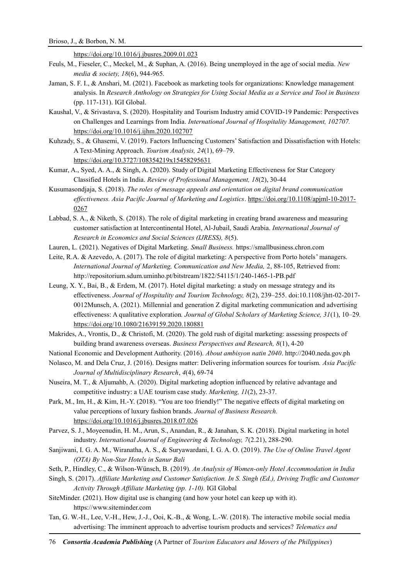<https://doi.org/10.1016/j.jbusres.2009.01.023>

- Feuls, M., Fieseler, C., Meckel, M., & Suphan, A. (2016). Being unemployed in the age of social media. *New media & society, 18*(6), 944-965.
- Jaman, S. F. I., & Anshari, M. (2021). Facebook as marketing tools for organizations: Knowledge management analysis. In *Research Anthology on Strategies for Using Social Media as a Service and Tool in Business* (pp. 117-131). IGI Global.
- Kaushal, V., & Srivastava, S. (2020). Hospitality and Tourism Industry amid COVID-19 Pandemic: Perspectives on Challenges and Learnings from India. *International Journal of Hospitality Management, 102707.*  <https://doi.org/10.1016/j.ijhm.2020.102707>
- Kuhzady, S., & Ghasemi, V. (2019). Factors Influencing Customers' Satisfaction and Dissatisfaction with Hotels: A Text-Mining Approach. *Tourism Analysis, 24*(1), 69–79. <https://doi.org/10.3727/108354219x15458295631>
- Kumar, A., Syed, A. A., & Singh, A. (2020). Study of Digital Marketing Effectiveness for Star Category Classified Hotels in India. *Review of Professional Management, 18*(2), 30-44
- Kusumasondjaja, S. (2018). *The roles of message appeals and orientation on digital brand communication effectiveness. Asia Pacific Journal of Marketing and Logistics*. [https://doi.org/10.1108/apjml-10-2017-](https://doi.org/10.1108/apjml-10-2017-0267) [0267](https://doi.org/10.1108/apjml-10-2017-0267)
- Labbad, S. A., & Niketh, S. (2018). The role of digital marketing in creating brand awareness and measuring customer satisfaction at Intercontinental Hotel, Al-Jubail, Saudi Arabia. *International Journal of Research in Economics and Social Sciences (IJRESS), 8*(5).
- Lauren, L. (2021). Negatives of Digital Marketing. *Small Business.* https://smallbusiness.chron.com
- Leite, R.A. & Azevedo, A. (2017). The role of digital marketing: A perspective from Porto hotels' managers. *International Journal of Marketing, Communication and New Media,* 2, 88-105, Retrieved from: http://repositorium.sdum.uminho.pt/bitstream/1822/54115/1/240-1465-1-PB.pdf
- Leung, X. Y., Bai, B., & Erdem, M. (2017). Hotel digital marketing: a study on message strategy and its effectiveness. *Journal of Hospitality and Tourism Technology, 8*(2), 239–255. doi:10.1108/jhtt-02-2017- 0012Munsch, A. (2021). Millennial and generation Z digital marketing communication and advertising effectiveness: A qualitative exploration*. Journal of Global Scholars of Marketing Science, 31*(1), 10–29*.* <https://doi.org/10.1080/21639159.2020.180881>
- Makrides, A., Vrontis, D., & Christofi, M. (2020). The gold rush of digital marketing: assessing prospects of building brand awareness overseas. *Business Perspectives and Research, 8*(1), 4-20
- National Economic and Development Authority. (2016). *About ambisyon natin 2040*. http://2040.neda.gov.ph
- Nolasco, M. and Dela Cruz, J. (2016). Designs matter: Delivering information sources for tourism. *Asia Pacific Journal of Multidisciplinary Research*, *4*(4), 69-74
- Nuseira, M. T., & Aljumahb, A. (2020). Digital marketing adoption influenced by relative advantage and competitive industry: a UAE tourism case study. *Marketing, 11*(2), 23-37.
- Park, M., Im, H., & Kim, H.-Y. (2018). "You are too friendly!" The negative effects of digital marketing on value perceptions of luxury fashion brands. *Journal of Business Research.* <https://doi.org/10.1016/j.jbusres.2018.07.026>
- Parvez, S. J., Moyeenudin, H. M., Arun, S., Anandan, R., & Janahan, S. K. (2018). Digital marketing in hotel industry. *International Journal of Engineering & Technology, 7*(2.21), 288-290.
- Sanjiwani, I. G. A. M., Wiranatha, A. S., & Suryawardani, I. G. A. O. (2019). *The Use of Online Travel Agent (OTA) By Non-Star Hotels in Sanur Bali*
- Seth, P., Hindley, C., & Wilson-Wünsch, B. (2019). *An Analysis of Women-only Hotel Accommodation in India*
- Singh, S. (2017). *Affiliate Marketing and Customer Satisfaction. In S. Singh (Ed.), Driving Traffic and Customer Activity Through Affiliate Marketing (pp. 1-10).* IGI Global
- SiteMinder. (2021). How digital use is changing (and how your hotel can keep up with it). https://www.siteminder.com
- Tan, G. W.-H., Lee, V.-H., Hew, J.-J., Ooi, K.-B., & Wong, L.-W. (2018). The interactive mobile social media advertising: The imminent approach to advertise tourism products and services? *Telematics and*

76 *Consortia Academia Publishing* (A Partner of *Tourism Educators and Movers of the Philippines*)